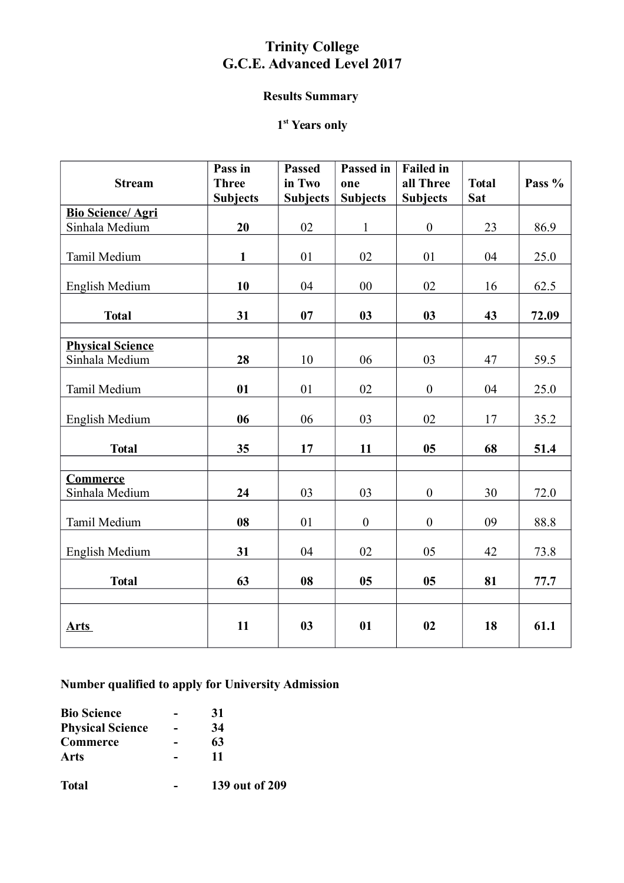## **Trinity College G.C.E. Advanced Level 2017**

#### **Results Summary**

#### **1 st Years only**

| <b>Stream</b>                     | Pass in<br><b>Three</b><br><b>Subjects</b> | <b>Passed</b><br>in Two<br><b>Subjects</b> | Passed in<br>one<br><b>Subjects</b> | <b>Failed</b> in<br>all Three<br><b>Subjects</b> | <b>Total</b><br><b>Sat</b> | Pass % |
|-----------------------------------|--------------------------------------------|--------------------------------------------|-------------------------------------|--------------------------------------------------|----------------------------|--------|
| <b>Bio Science/ Agri</b>          |                                            |                                            |                                     |                                                  |                            |        |
| Sinhala Medium                    | 20                                         | 02                                         | $\mathbf{1}$                        | $\boldsymbol{0}$                                 | 23                         | 86.9   |
|                                   |                                            |                                            |                                     |                                                  |                            |        |
| Tamil Medium                      | $\mathbf{1}$                               | 01                                         | 02                                  | 01                                               | 04                         | 25.0   |
| English Medium                    | 10                                         | 04                                         | 00                                  | 02                                               | 16                         | 62.5   |
| <b>Total</b>                      | 31                                         | 07                                         | 03                                  | 03                                               | 43                         | 72.09  |
|                                   |                                            |                                            |                                     |                                                  |                            |        |
| <b>Physical Science</b>           |                                            |                                            |                                     |                                                  |                            |        |
| Sinhala Medium                    | 28                                         | 10                                         | 06                                  | 03                                               | 47                         | 59.5   |
| Tamil Medium                      | 01                                         | 01                                         | 02                                  | $\boldsymbol{0}$                                 | 04                         | 25.0   |
| English Medium                    | 06                                         | 06                                         | 03                                  | 02                                               | 17                         | 35.2   |
| <b>Total</b>                      | 35                                         | 17                                         | 11                                  | 0 <sub>5</sub>                                   | 68                         | 51.4   |
|                                   |                                            |                                            |                                     |                                                  |                            |        |
| <b>Commerce</b><br>Sinhala Medium | 24                                         | 03                                         | 03                                  | $\boldsymbol{0}$                                 | 30                         | 72.0   |
|                                   |                                            |                                            |                                     |                                                  |                            |        |
| Tamil Medium                      | 08                                         | 01                                         | $\boldsymbol{0}$                    | $\boldsymbol{0}$                                 | 09                         | 88.8   |
| English Medium                    | 31                                         | 04                                         | 02                                  | 05                                               | 42                         | 73.8   |
| <b>Total</b>                      | 63                                         | 08                                         | 05                                  | 05                                               | 81                         | 77.7   |
|                                   |                                            |                                            |                                     |                                                  |                            |        |
| <b>Arts</b>                       | 11                                         | 03                                         | 01                                  | 02                                               | 18                         | 61.1   |

**Number qualified to apply for University Admission**

| <b>Bio Science</b>      | 31             |
|-------------------------|----------------|
| <b>Physical Science</b> | 34             |
| Commerce                | 63             |
| Arts                    | 11             |
| <b>Total</b>            | 139 out of 209 |